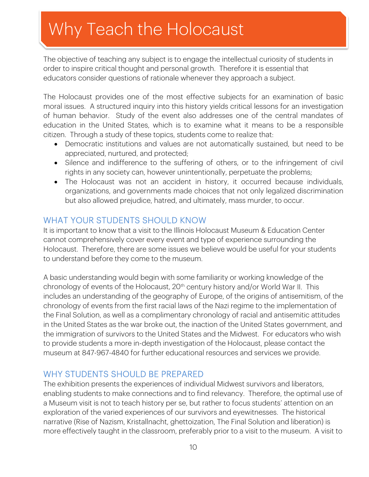# Why Teach the Holocaust

The objective of teaching any subject is to engage the intellectual curiosity of students in order to inspire critical thought and personal growth. Therefore it is essential that educators consider questions of rationale whenever they approach a subject.

The Holocaust provides one of the most effective subjects for an examination of basic moral issues. A structured inquiry into this history yields critical lessons for an investigation of human behavior. Study of the event also addresses one of the central mandates of education in the United States, which is to examine what it means to be a responsible citizen. Through a study of these topics, students come to realize that:

- Democratic institutions and values are not automatically sustained, but need to be appreciated, nurtured, and protected;
- Silence and indifference to the suffering of others, or to the infringement of civil rights in any society can, however unintentionally, perpetuate the problems;
- The Holocaust was not an accident in history, it occurred because individuals, organizations, and governments made choices that not only legalized discrimination but also allowed prejudice, hatred, and ultimately, mass murder, to occur.

## WHAT YOUR STUDENTS SHOULD KNOW

It is important to know that a visit to the Illinois Holocaust Museum & Education Center cannot comprehensively cover every event and type of experience surrounding the Holocaust. Therefore, there are some issues we believe would be useful for your students to understand before they come to the museum.

A basic understanding would begin with some familiarity or working knowledge of the chronology of events of the Holocaust, 20<sup>th</sup> century history and/or World War II. This includes an understanding of the geography of Europe, of the origins of antisemitism, of the chronology of events from the first racial laws of the Nazi regime to the implementation of the Final Solution, as well as a complimentary chronology of racial and antisemitic attitudes in the United States as the war broke out, the inaction of the United States government, and the immigration of survivors to the United States and the Midwest. For educators who wish to provide students a more in-depth investigation of the Holocaust, please contact the museum at 847-967-4840 for further educational resources and services we provide.

## WHY STUDENTS SHOULD BE PREPARED

The exhibition presents the experiences of individual Midwest survivors and liberators, enabling students to make connections and to find relevancy. Therefore, the optimal use of a Museum visit is not to teach history per se, but rather to focus students' attention on an exploration of the varied experiences of our survivors and eyewitnesses. The historical narrative (Rise of Nazism, Kristallnacht, ghettoization, The Final Solution and liberation) is more effectively taught in the classroom, preferably prior to a visit to the museum. A visit to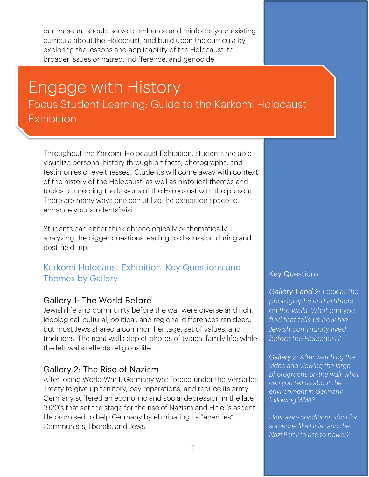our museum should serve to enhance and reinforce your existing curricula about the Holocaust, and build upon the curricula by exploring the lessons and applicability of the Holocaust, to broader issues or hatred, indifference, and genocide.

## Focus Student Learning: Guide to the Karkomi Holocaust Engage with History Exhibition

Throughout the Karkomi Holocaust Exhibition, students are able visualize personal history through artifacts, photographs, and testimonies of eyeitnesses.. Students will come away with context of the history of the Holocaust, as well as historical themes and topics connecting the lessons of the Holocaust with the present. There are many ways one can utilize the exhibition space to enhance your students' visit.

Students can either think chronologically or thematically analyzing the bigger questions leading to discussion during and post-field trip.

#### Karkomi Holocaust Exhibition: Key Questions and Themes by Gallery.

#### Gallery 1: The World Before

Jewish life and community before the war were diverse and rich. Ideological, cultural, political, and regional differences ran deep, but most Jews shared a common heritage, set of values, and traditions. The right walls depict photos of typical family life; while the left walls reflects religious life...

#### Gallery 2: The Rise of Nazism

After losing World War I, Germany was forced under the Versailles Treaty to give up territory, pay reparations, and reduce its army. Germany suffered an economic and social depression in the late 1920's that set the stage for the rise of Nazism and Hitler's ascent. He promised to help Germany by eliminating its "enemies": Communists, liberals, and Jews.

#### Key Questions

ī

*Gallery 1 and 2: Look at the photographs and artifacts on the walls. What can you find that tells us how the Jewish community lived before the Holocaust?* 

*Gallery 2: After watching the video and viewing the large photographs on the wall, what can you tell us about the environment in Germany following WWI?* 

*How were conditions ideal for someone like Hitler and the Nazi Party to rise to power?*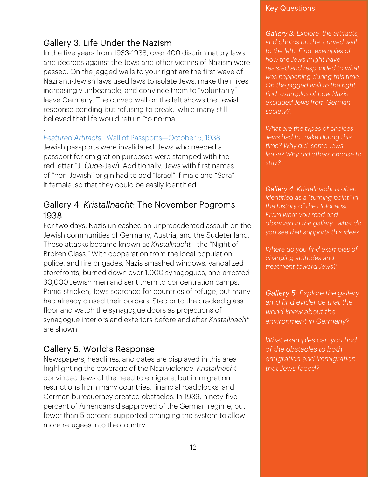## Gallery 3: Life Under the Nazism

.

In the five years from 1933-1938, over 400 discriminatory laws and decrees against the Jews and other victims of Nazism were passed. On the jagged walls to your right are the first wave of Nazi anti-Jewish laws used laws to isolate Jews, make their lives increasingly unbearable, and convince them to "voluntarily" leave Germany. The curved wall on the left shows the Jewish response bending but refusing to break, while many still believed that life would return "to normal."

#### *Featured Artifacts:* Wall of Passports—October 5, 1938

Jewish passports were invalidated. Jews who needed a passport for emigration purposes were stamped with the red letter "J" (*Jude*-Jew). Additionally, Jews with first names of "non-Jewish" origin had to add "Israel" if male and "Sara" if female ,so that they could be easily identified

#### Gallery 4: *Kristallnacht*: The November Pogroms 1938

For two days, Nazis unleashed an unprecedented assault on the Jewish communities of Germany, Austria, and the Sudetenland. These attacks became known as *Kristallnacht*—the "Night of Broken Glass." With cooperation from the local population, police, and fire brigades, Nazis smashed windows, vandalized storefronts, burned down over 1,000 synagogues, and arrested 30,000 Jewish men and sent them to concentration camps. Panic-stricken, Jews searched for countries of refuge, but many had already closed their borders. Step onto the cracked glass floor and watch the synagogue doors as projections of synagogue interiors and exteriors before and after *Kristallnacht*  are shown.

#### Gallery 5: World's Response

Newspapers, headlines, and dates are displayed in this area highlighting the coverage of the Nazi violence. *Kristallnacht* convinced Jews of the need to emigrate, but immigration restrictions from many countries, financial roadblocks, and German bureaucracy created obstacles. In 1939, ninety-five percent of Americans disapproved of the German regime, but fewer than 5 percent supported changing the system to allow more refugees into the country.

#### Key Questions

*Gallery 3: Explore the artifacts, and photos on the curved wall to the left. Find examples of how the Jews might have resisted and responded to what was happening during this time. On the jagged wall to the right, find examples of how Nazis excluded Jews from German society?.* 

*What are the types of choices Jews had to make during this time? Why did some Jews leave? Why did others choose to stay?* 

*Gallery 4: Kristallnacht is often identified as a "turning point" in the history of the Holocaust. From what you read and observed in the gallery, what do you see that supports this idea?* 

*Where do you find examples of changing attitudes and treatment toward Jews?* 

*Gallery 5: Explore the gallery amd find evidence that the world knew about the environment in Germany?* 

*What examples can you find of the obstacles to both emigration and immigration that Jews faced?*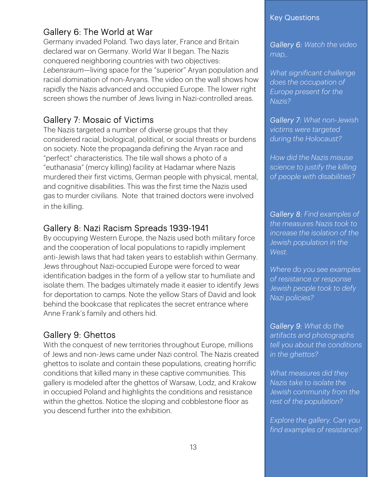## Gallery 6: The World at War

Germany invaded Poland. Two days later, France and Britain declared war on Germany. World War II began. The Nazis conquered neighboring countries with two objectives: *Lebensraum*—living space for the "superior" Aryan population and racial domination of non-Aryans. The video on the wall shows how rapidly the Nazis advanced and occupied Europe. The lower right screen shows the number of Jews living in Nazi-controlled areas.

## Gallery 7: Mosaic of Victims

The Nazis targeted a number of diverse groups that they considered racial, biological, political, or social threats or burdens on society. Note the propaganda defining the Aryan race and "perfect" characteristics. The tile wall shows a photo of a "euthanasia" (mercy killing) facility at Hadamar where Nazis murdered their first victims, German people with physical, mental, and cognitive disabilities. This was the first time the Nazis used gas to murder civilians. Note that trained doctors were involved in the killing.

#### Gallery 8: Nazi Racism Spreads 1939-1941

By occupying Western Europe, the Nazis used both military force and the cooperation of local populations to rapidly implement anti-Jewish laws that had taken years to establish within Germany. Jews throughout Nazi-occupied Europe were forced to wear identification badges in the form of a yellow star to humiliate and isolate them. The badges ultimately made it easier to identify Jews for deportation to camps. Note the yellow Stars of David and look behind the bookcase that replicates the secret entrance where Anne Frank's family and others hid.

## Gallery 9: Ghettos

With the conquest of new territories throughout Europe, millions of Jews and non-Jews came under Nazi control. The Nazis created ghettos to isolate and contain these populations, creating horrific conditions that killed many in these captive communities. This gallery is modeled after the ghettos of Warsaw, Lodz, and Krakow in occupied Poland and highlights the conditions and resistance within the ghettos. Notice the sloping and cobblestone floor as you descend further into the exhibition.

#### Key Questions

*Gallery 6: Watch the video map,.* 

*What significant challenge does the occupation of Europe present for the Nazis?* 

*Gallery 7: What non-Jewish victims were targeted during the Holocaust?* 

*How did the Nazis misuse science to justify the killing of people with disabilities?* 

*Gallery 8: Find examples of the measures Nazis took to increase the isolation of the Jewish population in the West.* 

*Where do you see examples of resistance or response Jewish people took to defy Nazi policies?* 

*Gallery 9: What do the artifacts and photographs tell you about the conditions in the ghettos?* 

*What measures did they Nazis take to isolate the Jewish community from the rest of the population?* 

*Explore the gallery. Can you find examples of resistance?*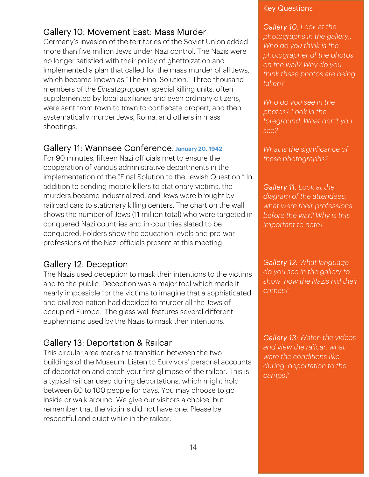## Gallery 10: Movement East: Mass Murder

Germany's invasion of the territories of the Soviet Union added more than five million Jews under Nazi control. The Nazis were no longer satisfied with their policy of ghettoization and implemented a plan that called for the mass murder of all Jews, which became known as "The Final Solution." Three thousand members of the *Einsatzgruppen*, special killing units, often supplemented by local auxiliaries and even ordinary citizens, were sent from town to town to confiscate propert, and then systematically murder Jews, Roma, and others in mass shootings.

#### Gallery 11: Wannsee Conference: **January 20, 1942**

For 90 minutes, fifteen Nazi officials met to ensure the cooperation of various administrative departments in the implementation of the "Final Solution to the Jewish Question." In addition to sending mobile killers to stationary victims, the murders became industrialized, and Jews were brought by railroad cars to stationary killing centers. The chart on the wall shows the number of Jews (11 million total) who were targeted in conquered Nazi countries and in countries slated to be conquered. Folders show the education levels and pre-war professions of the Nazi officials present at this meeting.

#### Gallery 12: Deception

The Nazis used deception to mask their intentions to the victims and to the public. Deception was a major tool which made it nearly impossible for the victims to imagine that a sophisticated and civilized nation had decided to murder all the Jews of occupied Europe. The glass wall features several different euphemisms used by the Nazis to mask their intentions.

## Gallery 13: Deportation & Railcar

This circular area marks the transition between the two buildings of the Museum. Listen to Survivors' personal accounts of deportation and catch your first glimpse of the railcar. This is a typical rail car used during deportations, which might hold between 80 to 100 people for days. You may choose to go inside or walk around. We give our visitors a choice, but remember that the victims did not have one. Please be respectful and quiet while in the railcar.

#### Key Questions

*Gallery 10: Look at the photographs in the gallery,. Who do you think is the photographer of the photos on the wall? Why do you think these photos are being taken?* 

*Who do you see in the photos? Look in the foreground. What don't you see?* 

*What is the significance of these photographs?* 

*Gallery 11: Look at the diagram of the attendees, what were their professions before the war? Why is this important to note?* 

*Gallery 12: What language do you see in the gallery to show how the Nazis hid their crimes?* 

*Gallery 13: Watch the videos and view the railcar, what were the conditions like during deportation to the camps?*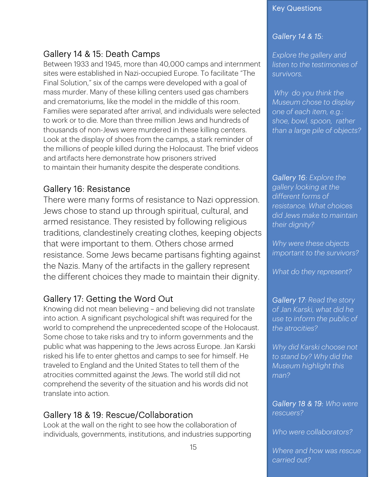## Gallery 14 & 15: Death Camps

Between 1933 and 1945, more than 40,000 camps and internment sites were established in Nazi-occupied Europe. To facilitate "The Final Solution," six of the camps were developed with a goal of mass murder. Many of these killing centers used gas chambers and crematoriums, like the model in the middle of this room. Families were separated after arrival, and individuals were selected to work or to die. More than three million Jews and hundreds of thousands of non-Jews were murdered in these killing centers. Look at the display of shoes from the camps, a stark reminder of the millions of people killed during the Holocaust. The brief videos and artifacts here demonstrate how prisoners strived to maintain their humanity despite the desperate conditions.

#### Gallery 16: Resistance

There were many forms of resistance to Nazi oppression. Jews chose to stand up through spiritual, cultural, and armed resistance. They resisted by following religious traditions, clandestinely creating clothes, keeping objects that were important to them. Others chose armed resistance. Some Jews became partisans fighting against the Nazis. Many of the artifacts in the gallery represent the different choices they made to maintain their dignity.

## Gallery 17: Getting the Word Out

Knowing did not mean believing – and believing did not translate into action. A significant psychological shift was required for the world to comprehend the unprecedented scope of the Holocaust. Some chose to take risks and try to inform governments and the public what was happening to the Jews across Europe. Jan Karski risked his life to enter ghettos and camps to see for himself. He traveled to England and the United States to tell them of the atrocities committed against the Jews. The world still did not comprehend the severity of the situation and his words did not translate into action.

## Gallery 18 & 19: Rescue/Collaboration

Look at the wall on the right to see how the collaboration of individuals, governments, institutions, and industries supporting

#### Key Questions

#### *Gallery 14 & 15:*

*Explore the gallery and listen to the testimonies of survivors.* 

 *Why do you think the Museum chose to display one of each item, e.g.: shoe, bowl, spoon, rather than a large pile of objects?* 

*Gallery 16: Explore the gallery looking at the different forms of resistance. What choices did Jews make to maintain their dignity?* 

*Why were these objects important to the survivors?* 

*What do they represent?* 

*Gallery 17: Read the story of Jan Karski, what did he use to inform the public of the atrocities?* 

*Why did Karski choose not to stand by? Why did the Museum highlight this man?* 

*Gallery 18 & 19: Who were rescuers?* 

*Who were collaborators?* 

*Where and how was rescue carried out?*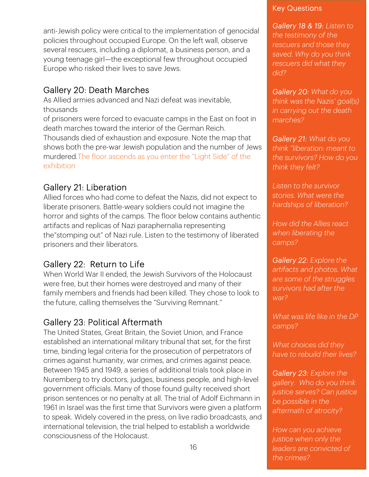anti-Jewish policy were critical to the implementation of genocidal policies throughout occupied Europe. On the left wall, observe several rescuers, including a diplomat, a business person, and a young teenage girl—the exceptional few throughout occupied Europe who risked their lives to save Jews.

#### Gallery 20: Death Marches

As Allied armies advanced and Nazi defeat was inevitable, thousands

of prisoners were forced to evacuate camps in the East on foot in death marches toward the interior of the German Reich. Thousands died of exhaustion and exposure. Note the map that shows both the pre-war Jewish population and the number of Jews murdered.The floor ascends as you enter the "Light Side" of the exhibition

## Gallery 21: Liberation

Allied forces who had come to defeat the Nazis, did not expect to liberate prisoners. Battle-weary soldiers could not imagine the horror and sights of the camps. The floor below contains authentic artifacts and replicas of Nazi paraphernalia representing the"stomping out" of Nazi rule. Listen to the testimony of liberated prisoners and their liberators.

## Gallery 22: Return to Life

When World War II ended, the Jewish Survivors of the Holocaust were free, but their homes were destroyed and many of their family members and friends had been killed. They chose to look to the future, calling themselves the "Surviving Remnant."

#### Gallery 23: Political Aftermath

The United States, Great Britain, the Soviet Union, and France established an international military tribunal that set, for the first time, binding legal criteria for the prosecution of perpetrators of crimes against humanity, war crimes, and crimes against peace. Between 1945 and 1949, a series of additional trials took place in Nuremberg to try doctors, judges, business people, and high-level government officials. Many of those found guilty received short prison sentences or no penalty at all. The trial of Adolf Eichmann in 1961 in Israel was the first time that Survivors were given a platform to speak. Widely covered in the press, on live radio broadcasts, and international television, the trial helped to establish a worldwide consciousness of the Holocaust.

#### Key Questions

*Gallery 18 & 19: Listen to the testimony of the rescuers and those they saved. Why do you think rescuers did what they did?* 

*Gallery 20: What do you think was the Nazis' goal(s) in carrying out the death marches?* 

*Gallery 21: What do you think "liberation: meant to the survivors? How do you think they felt?* 

*Listen to the survivor stories. What were the hardships of liberation?* 

*How did the Allies react when liberating the camps?* 

*Gallery 22: Explore the artifacts and photos. What are some of the struggles survivors had after the war?* 

*What was life like in the DP camps?* 

*What choices did they have to rebuild their lives?* 

*Gallery 23: Explore the gallery. Who do you think justice serves? Can justice be possible in the aftermath of atrocity?* 

*How can you achieve justice when only the leaders are convicted of the crimes?*